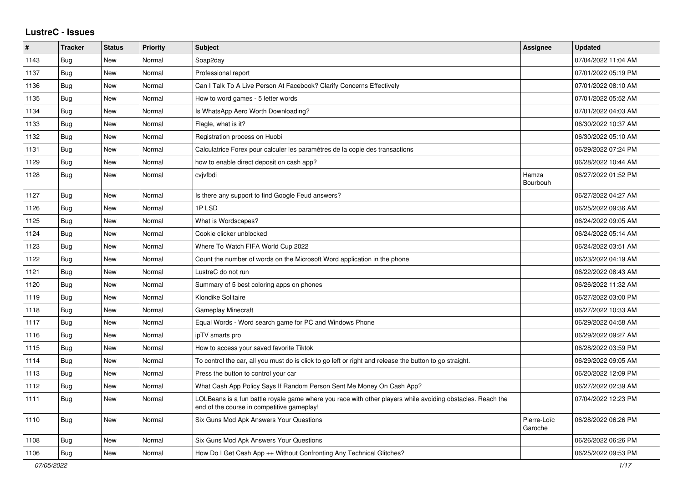## **LustreC - Issues**

| ∦    | <b>Tracker</b> | <b>Status</b> | <b>Priority</b> | <b>Subject</b>                                                                                                                                           | <b>Assignee</b>        | <b>Updated</b>      |
|------|----------------|---------------|-----------------|----------------------------------------------------------------------------------------------------------------------------------------------------------|------------------------|---------------------|
| 1143 | Bug            | New           | Normal          | Soap2day                                                                                                                                                 |                        | 07/04/2022 11:04 AM |
| 1137 | Bug            | New           | Normal          | Professional report                                                                                                                                      |                        | 07/01/2022 05:19 PM |
| 1136 | <b>Bug</b>     | <b>New</b>    | Normal          | Can I Talk To A Live Person At Facebook? Clarify Concerns Effectively                                                                                    |                        | 07/01/2022 08:10 AM |
| 1135 | Bug            | New           | Normal          | How to word games - 5 letter words                                                                                                                       |                        | 07/01/2022 05:52 AM |
| 1134 | Bug            | New           | Normal          | Is WhatsApp Aero Worth Downloading?                                                                                                                      |                        | 07/01/2022 04:03 AM |
| 1133 | Bug            | <b>New</b>    | Normal          | Flagle, what is it?                                                                                                                                      |                        | 06/30/2022 10:37 AM |
| 1132 | Bug            | New           | Normal          | Registration process on Huobi                                                                                                                            |                        | 06/30/2022 05:10 AM |
| 1131 | Bug            | New           | Normal          | Calculatrice Forex pour calculer les paramètres de la copie des transactions                                                                             |                        | 06/29/2022 07:24 PM |
| 1129 | Bug            | New           | Normal          | how to enable direct deposit on cash app?                                                                                                                |                        | 06/28/2022 10:44 AM |
| 1128 | <b>Bug</b>     | New           | Normal          | cvivfbdi                                                                                                                                                 | Hamza<br>Bourbouh      | 06/27/2022 01:52 PM |
| 1127 | Bug            | New           | Normal          | Is there any support to find Google Feud answers?                                                                                                        |                        | 06/27/2022 04:27 AM |
| 1126 | Bug            | New           | Normal          | 1PLSD                                                                                                                                                    |                        | 06/25/2022 09:36 AM |
| 1125 | Bug            | New           | Normal          | What is Wordscapes?                                                                                                                                      |                        | 06/24/2022 09:05 AM |
| 1124 | Bug            | New           | Normal          | Cookie clicker unblocked                                                                                                                                 |                        | 06/24/2022 05:14 AM |
| 1123 | Bug            | New           | Normal          | Where To Watch FIFA World Cup 2022                                                                                                                       |                        | 06/24/2022 03:51 AM |
| 1122 | <b>Bug</b>     | <b>New</b>    | Normal          | Count the number of words on the Microsoft Word application in the phone                                                                                 |                        | 06/23/2022 04:19 AM |
| 1121 | Bug            | New           | Normal          | LustreC do not run                                                                                                                                       |                        | 06/22/2022 08:43 AM |
| 1120 | <b>Bug</b>     | New           | Normal          | Summary of 5 best coloring apps on phones                                                                                                                |                        | 06/26/2022 11:32 AM |
| 1119 | Bug            | <b>New</b>    | Normal          | Klondike Solitaire                                                                                                                                       |                        | 06/27/2022 03:00 PM |
| 1118 | <b>Bug</b>     | New           | Normal          | Gameplay Minecraft                                                                                                                                       |                        | 06/27/2022 10:33 AM |
| 1117 | <b>Bug</b>     | New           | Normal          | Equal Words - Word search game for PC and Windows Phone                                                                                                  |                        | 06/29/2022 04:58 AM |
| 1116 | Bug            | New           | Normal          | ipTV smarts pro                                                                                                                                          |                        | 06/29/2022 09:27 AM |
| 1115 | <b>Bug</b>     | New           | Normal          | How to access your saved favorite Tiktok                                                                                                                 |                        | 06/28/2022 03:59 PM |
| 1114 | Bug            | New           | Normal          | To control the car, all you must do is click to go left or right and release the button to go straight.                                                  |                        | 06/29/2022 09:05 AM |
| 1113 | <b>Bug</b>     | New           | Normal          | Press the button to control your car                                                                                                                     |                        | 06/20/2022 12:09 PM |
| 1112 | Bug            | New           | Normal          | What Cash App Policy Says If Random Person Sent Me Money On Cash App?                                                                                    |                        | 06/27/2022 02:39 AM |
| 1111 | Bug            | <b>New</b>    | Normal          | LOLBeans is a fun battle royale game where you race with other players while avoiding obstacles. Reach the<br>end of the course in competitive gameplay! |                        | 07/04/2022 12:23 PM |
| 1110 | Bug            | New           | Normal          | Six Guns Mod Apk Answers Your Questions                                                                                                                  | Pierre-Loïc<br>Garoche | 06/28/2022 06:26 PM |
| 1108 | Bug            | New           | Normal          | Six Guns Mod Apk Answers Your Questions                                                                                                                  |                        | 06/26/2022 06:26 PM |
| 1106 | <b>Bug</b>     | New           | Normal          | How Do I Get Cash App ++ Without Confronting Any Technical Glitches?                                                                                     |                        | 06/25/2022 09:53 PM |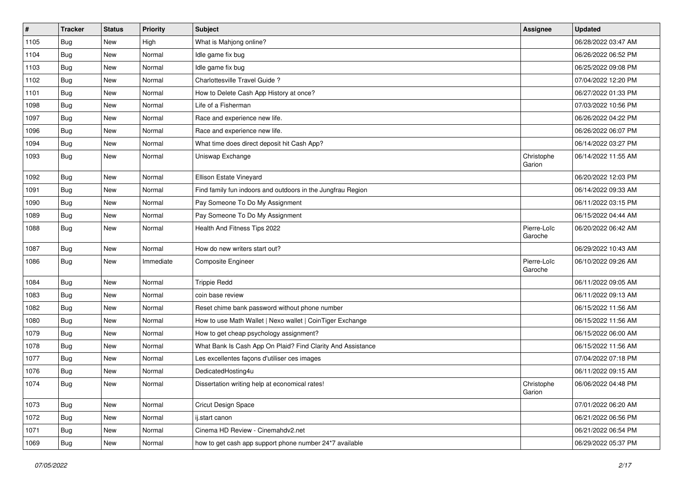| $\vert$ # | <b>Tracker</b> | <b>Status</b> | <b>Priority</b> | <b>Subject</b>                                              | Assignee               | <b>Updated</b>      |
|-----------|----------------|---------------|-----------------|-------------------------------------------------------------|------------------------|---------------------|
| 1105      | <b>Bug</b>     | New           | High            | What is Mahjong online?                                     |                        | 06/28/2022 03:47 AM |
| 1104      | Bug            | New           | Normal          | Idle game fix bug                                           |                        | 06/26/2022 06:52 PM |
| 1103      | Bug            | New           | Normal          | Idle game fix bug                                           |                        | 06/25/2022 09:08 PM |
| 1102      | <b>Bug</b>     | New           | Normal          | Charlottesville Travel Guide?                               |                        | 07/04/2022 12:20 PM |
| 1101      | <b>Bug</b>     | <b>New</b>    | Normal          | How to Delete Cash App History at once?                     |                        | 06/27/2022 01:33 PM |
| 1098      | Bug            | New           | Normal          | Life of a Fisherman                                         |                        | 07/03/2022 10:56 PM |
| 1097      | Bug            | New           | Normal          | Race and experience new life.                               |                        | 06/26/2022 04:22 PM |
| 1096      | Bug            | New           | Normal          | Race and experience new life.                               |                        | 06/26/2022 06:07 PM |
| 1094      | <b>Bug</b>     | New           | Normal          | What time does direct deposit hit Cash App?                 |                        | 06/14/2022 03:27 PM |
| 1093      | Bug            | New           | Normal          | Uniswap Exchange                                            | Christophe<br>Garion   | 06/14/2022 11:55 AM |
| 1092      | <b>Bug</b>     | New           | Normal          | Ellison Estate Vineyard                                     |                        | 06/20/2022 12:03 PM |
| 1091      | <b>Bug</b>     | <b>New</b>    | Normal          | Find family fun indoors and outdoors in the Jungfrau Region |                        | 06/14/2022 09:33 AM |
| 1090      | <b>Bug</b>     | New           | Normal          | Pay Someone To Do My Assignment                             |                        | 06/11/2022 03:15 PM |
| 1089      | Bug            | New           | Normal          | Pay Someone To Do My Assignment                             |                        | 06/15/2022 04:44 AM |
| 1088      | Bug            | New           | Normal          | Health And Fitness Tips 2022                                | Pierre-Loïc<br>Garoche | 06/20/2022 06:42 AM |
| 1087      | Bug            | <b>New</b>    | Normal          | How do new writers start out?                               |                        | 06/29/2022 10:43 AM |
| 1086      | Bug            | New           | Immediate       | Composite Engineer                                          | Pierre-Loïc<br>Garoche | 06/10/2022 09:26 AM |
| 1084      | <b>Bug</b>     | <b>New</b>    | Normal          | <b>Trippie Redd</b>                                         |                        | 06/11/2022 09:05 AM |
| 1083      | <b>Bug</b>     | New           | Normal          | coin base review                                            |                        | 06/11/2022 09:13 AM |
| 1082      | Bug            | New           | Normal          | Reset chime bank password without phone number              |                        | 06/15/2022 11:56 AM |
| 1080      | Bug            | New           | Normal          | How to use Math Wallet   Nexo wallet   CoinTiger Exchange   |                        | 06/15/2022 11:56 AM |
| 1079      | Bug            | New           | Normal          | How to get cheap psychology assignment?                     |                        | 06/15/2022 06:00 AM |
| 1078      | Bug            | <b>New</b>    | Normal          | What Bank Is Cash App On Plaid? Find Clarity And Assistance |                        | 06/15/2022 11:56 AM |
| 1077      | <b>Bug</b>     | New           | Normal          | Les excellentes façons d'utiliser ces images                |                        | 07/04/2022 07:18 PM |
| 1076      | <b>Bug</b>     | New           | Normal          | DedicatedHosting4u                                          |                        | 06/11/2022 09:15 AM |
| 1074      | <b>Bug</b>     | New           | Normal          | Dissertation writing help at economical rates!              | Christophe<br>Garion   | 06/06/2022 04:48 PM |
| 1073      | Bug            | New           | Normal          | Cricut Design Space                                         |                        | 07/01/2022 06:20 AM |
| 1072      | Bug            | New           | Normal          | ij.start canon                                              |                        | 06/21/2022 06:56 PM |
| 1071      | <b>Bug</b>     | New           | Normal          | Cinema HD Review - Cinemahdv2.net                           |                        | 06/21/2022 06:54 PM |
| 1069      | <b>Bug</b>     | New           | Normal          | how to get cash app support phone number 24*7 available     |                        | 06/29/2022 05:37 PM |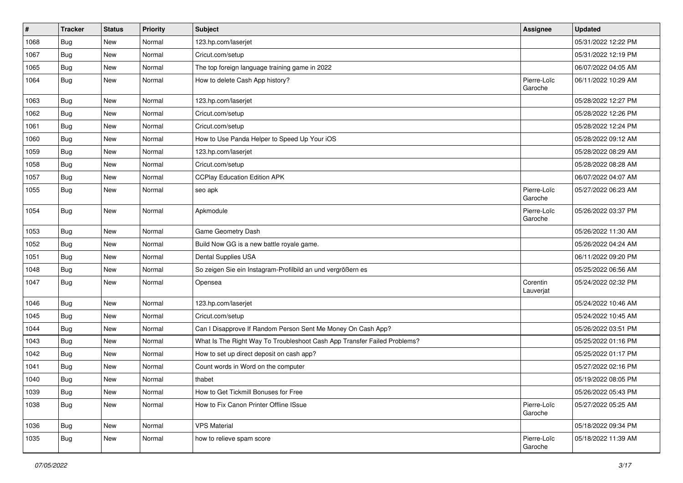| $\sharp$ | <b>Tracker</b> | <b>Status</b> | <b>Priority</b> | Subject                                                                  | <b>Assignee</b>        | <b>Updated</b>      |
|----------|----------------|---------------|-----------------|--------------------------------------------------------------------------|------------------------|---------------------|
| 1068     | <b>Bug</b>     | New           | Normal          | 123.hp.com/laserjet                                                      |                        | 05/31/2022 12:22 PM |
| 1067     | <b>Bug</b>     | <b>New</b>    | Normal          | Cricut.com/setup                                                         |                        | 05/31/2022 12:19 PM |
| 1065     | Bug            | New           | Normal          | The top foreign language training game in 2022                           |                        | 06/07/2022 04:05 AM |
| 1064     | Bug            | New           | Normal          | How to delete Cash App history?                                          | Pierre-Loïc<br>Garoche | 06/11/2022 10:29 AM |
| 1063     | Bug            | <b>New</b>    | Normal          | 123.hp.com/laserjet                                                      |                        | 05/28/2022 12:27 PM |
| 1062     | Bug            | <b>New</b>    | Normal          | Cricut.com/setup                                                         |                        | 05/28/2022 12:26 PM |
| 1061     | Bug            | New           | Normal          | Cricut.com/setup                                                         |                        | 05/28/2022 12:24 PM |
| 1060     | <b>Bug</b>     | New           | Normal          | How to Use Panda Helper to Speed Up Your iOS                             |                        | 05/28/2022 09:12 AM |
| 1059     | <b>Bug</b>     | <b>New</b>    | Normal          | 123.hp.com/laserjet                                                      |                        | 05/28/2022 08:29 AM |
| 1058     | Bug            | New           | Normal          | Cricut.com/setup                                                         |                        | 05/28/2022 08:28 AM |
| 1057     | Bug            | <b>New</b>    | Normal          | <b>CCPlay Education Edition APK</b>                                      |                        | 06/07/2022 04:07 AM |
| 1055     | Bug            | <b>New</b>    | Normal          | seo apk                                                                  | Pierre-Loïc<br>Garoche | 05/27/2022 06:23 AM |
| 1054     | Bug            | <b>New</b>    | Normal          | Apkmodule                                                                | Pierre-Loïc<br>Garoche | 05/26/2022 03:37 PM |
| 1053     | <b>Bug</b>     | <b>New</b>    | Normal          | Game Geometry Dash                                                       |                        | 05/26/2022 11:30 AM |
| 1052     | <b>Bug</b>     | <b>New</b>    | Normal          | Build Now GG is a new battle royale game.                                |                        | 05/26/2022 04:24 AM |
| 1051     | Bug            | New           | Normal          | Dental Supplies USA                                                      |                        | 06/11/2022 09:20 PM |
| 1048     | Bug            | New           | Normal          | So zeigen Sie ein Instagram-Profilbild an und vergrößern es              |                        | 05/25/2022 06:56 AM |
| 1047     | <b>Bug</b>     | New           | Normal          | Opensea                                                                  | Corentin<br>Lauverjat  | 05/24/2022 02:32 PM |
| 1046     | <b>Bug</b>     | <b>New</b>    | Normal          | 123.hp.com/laserjet                                                      |                        | 05/24/2022 10:46 AM |
| 1045     | Bug            | New           | Normal          | Cricut.com/setup                                                         |                        | 05/24/2022 10:45 AM |
| 1044     | <b>Bug</b>     | <b>New</b>    | Normal          | Can I Disapprove If Random Person Sent Me Money On Cash App?             |                        | 05/26/2022 03:51 PM |
| 1043     | Bug            | <b>New</b>    | Normal          | What Is The Right Way To Troubleshoot Cash App Transfer Failed Problems? |                        | 05/25/2022 01:16 PM |
| 1042     | Bug            | New           | Normal          | How to set up direct deposit on cash app?                                |                        | 05/25/2022 01:17 PM |
| 1041     | Bug            | New           | Normal          | Count words in Word on the computer                                      |                        | 05/27/2022 02:16 PM |
| 1040     | <b>Bug</b>     | New           | Normal          | thabet                                                                   |                        | 05/19/2022 08:05 PM |
| 1039     | <b>Bug</b>     | New           | Normal          | How to Get Tickmill Bonuses for Free                                     |                        | 05/26/2022 05:43 PM |
| 1038     | Bug            | New           | Normal          | How to Fix Canon Printer Offline ISsue                                   | Pierre-Loïc<br>Garoche | 05/27/2022 05:25 AM |
| 1036     | Bug            | New           | Normal          | <b>VPS Material</b>                                                      |                        | 05/18/2022 09:34 PM |
| 1035     | Bug            | New           | Normal          | how to relieve spam score                                                | Pierre-Loïc<br>Garoche | 05/18/2022 11:39 AM |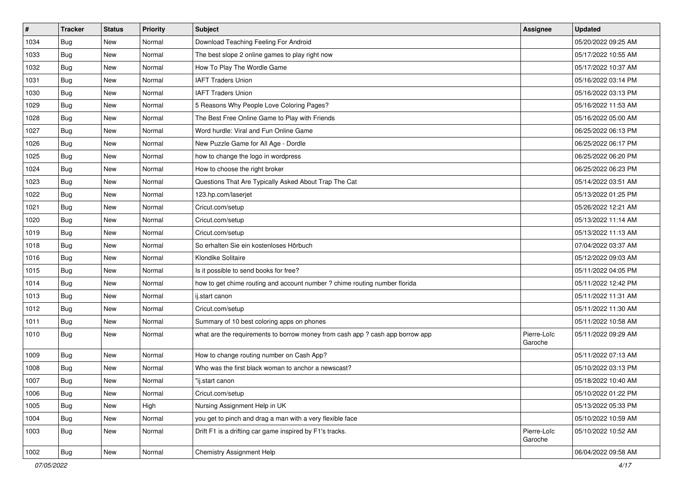| $\vert$ # | <b>Tracker</b> | <b>Status</b> | Priority | Subject                                                                       | Assignee               | <b>Updated</b>      |
|-----------|----------------|---------------|----------|-------------------------------------------------------------------------------|------------------------|---------------------|
| 1034      | <b>Bug</b>     | New           | Normal   | Download Teaching Feeling For Android                                         |                        | 05/20/2022 09:25 AM |
| 1033      | Bug            | <b>New</b>    | Normal   | The best slope 2 online games to play right now                               |                        | 05/17/2022 10:55 AM |
| 1032      | Bug            | New           | Normal   | How To Play The Wordle Game                                                   |                        | 05/17/2022 10:37 AM |
| 1031      | <b>Bug</b>     | New           | Normal   | <b>IAFT Traders Union</b>                                                     |                        | 05/16/2022 03:14 PM |
| 1030      | <b>Bug</b>     | <b>New</b>    | Normal   | <b>IAFT Traders Union</b>                                                     |                        | 05/16/2022 03:13 PM |
| 1029      | <b>Bug</b>     | New           | Normal   | 5 Reasons Why People Love Coloring Pages?                                     |                        | 05/16/2022 11:53 AM |
| 1028      | <b>Bug</b>     | New           | Normal   | The Best Free Online Game to Play with Friends                                |                        | 05/16/2022 05:00 AM |
| 1027      | Bug            | New           | Normal   | Word hurdle: Viral and Fun Online Game                                        |                        | 06/25/2022 06:13 PM |
| 1026      | <b>Bug</b>     | New           | Normal   | New Puzzle Game for All Age - Dordle                                          |                        | 06/25/2022 06:17 PM |
| 1025      | Bug            | <b>New</b>    | Normal   | how to change the logo in wordpress                                           |                        | 06/25/2022 06:20 PM |
| 1024      | Bug            | New           | Normal   | How to choose the right broker                                                |                        | 06/25/2022 06:23 PM |
| 1023      | Bug            | New           | Normal   | Questions That Are Typically Asked About Trap The Cat                         |                        | 05/14/2022 03:51 AM |
| 1022      | Bug            | <b>New</b>    | Normal   | 123.hp.com/laserjet                                                           |                        | 05/13/2022 01:25 PM |
| 1021      | <b>Bug</b>     | <b>New</b>    | Normal   | Cricut.com/setup                                                              |                        | 05/26/2022 12:21 AM |
| 1020      | Bug            | New           | Normal   | Cricut.com/setup                                                              |                        | 05/13/2022 11:14 AM |
| 1019      | Bug            | New           | Normal   | Cricut.com/setup                                                              |                        | 05/13/2022 11:13 AM |
| 1018      | <b>Bug</b>     | New           | Normal   | So erhalten Sie ein kostenloses Hörbuch                                       |                        | 07/04/2022 03:37 AM |
| 1016      | Bug            | <b>New</b>    | Normal   | Klondike Solitaire                                                            |                        | 05/12/2022 09:03 AM |
| 1015      | <b>Bug</b>     | New           | Normal   | Is it possible to send books for free?                                        |                        | 05/11/2022 04:05 PM |
| 1014      | Bug            | New           | Normal   | how to get chime routing and account number ? chime routing number florida    |                        | 05/11/2022 12:42 PM |
| 1013      | Bug            | New           | Normal   | ij.start canon                                                                |                        | 05/11/2022 11:31 AM |
| 1012      | <b>Bug</b>     | New           | Normal   | Cricut.com/setup                                                              |                        | 05/11/2022 11:30 AM |
| 1011      | Bug            | <b>New</b>    | Normal   | Summary of 10 best coloring apps on phones                                    |                        | 05/11/2022 10:58 AM |
| 1010      | Bug            | New           | Normal   | what are the requirements to borrow money from cash app ? cash app borrow app | Pierre-Loïc<br>Garoche | 05/11/2022 09:29 AM |
| 1009      | Bug            | <b>New</b>    | Normal   | How to change routing number on Cash App?                                     |                        | 05/11/2022 07:13 AM |
| 1008      | <b>Bug</b>     | New           | Normal   | Who was the first black woman to anchor a newscast?                           |                        | 05/10/2022 03:13 PM |
| 1007      | <b>Bug</b>     | New           | Normal   | 'ij.start canon                                                               |                        | 05/18/2022 10:40 AM |
| 1006      | <b>Bug</b>     | New           | Normal   | Cricut.com/setup                                                              |                        | 05/10/2022 01:22 PM |
| 1005      | Bug            | New           | High     | Nursing Assignment Help in UK                                                 |                        | 05/13/2022 05:33 PM |
| 1004      | <b>Bug</b>     | New           | Normal   | you get to pinch and drag a man with a very flexible face                     |                        | 05/10/2022 10:59 AM |
| 1003      | <b>Bug</b>     | New           | Normal   | Drift F1 is a drifting car game inspired by F1's tracks.                      | Pierre-Loïc<br>Garoche | 05/10/2022 10:52 AM |
| 1002      | <b>Bug</b>     | New           | Normal   | <b>Chemistry Assignment Help</b>                                              |                        | 06/04/2022 09:58 AM |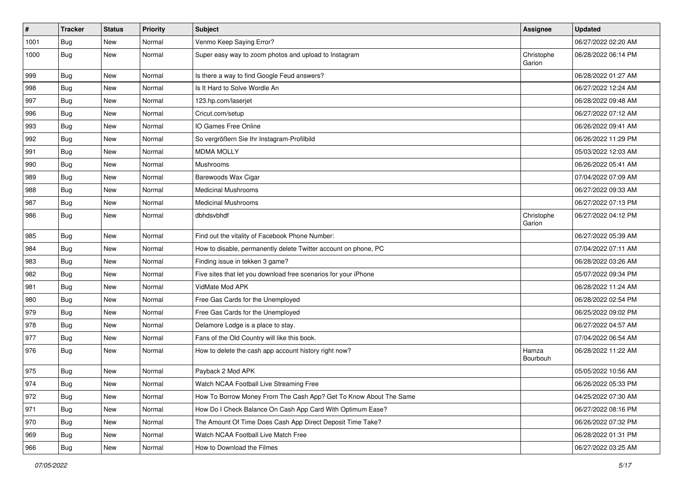| $\vert$ # | <b>Tracker</b> | <b>Status</b> | <b>Priority</b> | <b>Subject</b>                                                    | Assignee             | <b>Updated</b>      |
|-----------|----------------|---------------|-----------------|-------------------------------------------------------------------|----------------------|---------------------|
| 1001      | <b>Bug</b>     | New           | Normal          | Venmo Keep Saying Error?                                          |                      | 06/27/2022 02:20 AM |
| 1000      | Bug            | New           | Normal          | Super easy way to zoom photos and upload to Instagram             | Christophe<br>Garion | 06/28/2022 06:14 PM |
| 999       | <b>Bug</b>     | New           | Normal          | Is there a way to find Google Feud answers?                       |                      | 06/28/2022 01:27 AM |
| 998       | Bug            | <b>New</b>    | Normal          | Is It Hard to Solve Wordle An                                     |                      | 06/27/2022 12:24 AM |
| 997       | Bug            | New           | Normal          | 123.hp.com/laserjet                                               |                      | 06/28/2022 09:48 AM |
| 996       | <b>Bug</b>     | New           | Normal          | Cricut.com/setup                                                  |                      | 06/27/2022 07:12 AM |
| 993       | Bug            | New           | Normal          | IO Games Free Online                                              |                      | 06/26/2022 09:41 AM |
| 992       | Bug            | New           | Normal          | So vergrößern Sie Ihr Instagram-Profilbild                        |                      | 06/26/2022 11:29 PM |
| 991       | Bug            | New           | Normal          | <b>MDMA MOLLY</b>                                                 |                      | 05/03/2022 12:03 AM |
| 990       | Bug            | New           | Normal          | Mushrooms                                                         |                      | 06/26/2022 05:41 AM |
| 989       | <b>Bug</b>     | New           | Normal          | Barewoods Wax Cigar                                               |                      | 07/04/2022 07:09 AM |
| 988       | <b>Bug</b>     | <b>New</b>    | Normal          | <b>Medicinal Mushrooms</b>                                        |                      | 06/27/2022 09:33 AM |
| 987       | <b>Bug</b>     | New           | Normal          | <b>Medicinal Mushrooms</b>                                        |                      | 06/27/2022 07:13 PM |
| 986       | <b>Bug</b>     | New           | Normal          | dbhdsvbhdf                                                        | Christophe<br>Garion | 06/27/2022 04:12 PM |
| 985       | <b>Bug</b>     | New           | Normal          | Find out the vitality of Facebook Phone Number:                   |                      | 06/27/2022 05:39 AM |
| 984       | Bug            | <b>New</b>    | Normal          | How to disable, permanently delete Twitter account on phone, PC   |                      | 07/04/2022 07:11 AM |
| 983       | <b>Bug</b>     | New           | Normal          | Finding issue in tekken 3 game?                                   |                      | 06/28/2022 03:26 AM |
| 982       | <b>Bug</b>     | New           | Normal          | Five sites that let you download free scenarios for your iPhone   |                      | 05/07/2022 09:34 PM |
| 981       | <b>Bug</b>     | <b>New</b>    | Normal          | VidMate Mod APK                                                   |                      | 06/28/2022 11:24 AM |
| 980       | Bug            | New           | Normal          | Free Gas Cards for the Unemployed                                 |                      | 06/28/2022 02:54 PM |
| 979       | <b>Bug</b>     | New           | Normal          | Free Gas Cards for the Unemployed                                 |                      | 06/25/2022 09:02 PM |
| 978       | <b>Bug</b>     | New           | Normal          | Delamore Lodge is a place to stay.                                |                      | 06/27/2022 04:57 AM |
| 977       | <b>Bug</b>     | New           | Normal          | Fans of the Old Country will like this book.                      |                      | 07/04/2022 06:54 AM |
| 976       | Bug            | <b>New</b>    | Normal          | How to delete the cash app account history right now?             | Hamza<br>Bourbouh    | 06/28/2022 11:22 AM |
| 975       | <b>Bug</b>     | New           | Normal          | Payback 2 Mod APK                                                 |                      | 05/05/2022 10:56 AM |
| 974       | <b>Bug</b>     | New           | Normal          | Watch NCAA Football Live Streaming Free                           |                      | 06/26/2022 05:33 PM |
| 972       | <b>Bug</b>     | New           | Normal          | How To Borrow Money From The Cash App? Get To Know About The Same |                      | 04/25/2022 07:30 AM |
| 971       | <b>Bug</b>     | New           | Normal          | How Do I Check Balance On Cash App Card With Optimum Ease?        |                      | 06/27/2022 08:16 PM |
| 970       | Bug            | New           | Normal          | The Amount Of Time Does Cash App Direct Deposit Time Take?        |                      | 06/26/2022 07:32 PM |
| 969       | Bug            | New           | Normal          | Watch NCAA Football Live Match Free                               |                      | 06/28/2022 01:31 PM |
| 966       | <b>Bug</b>     | New           | Normal          | How to Download the Filmes                                        |                      | 06/27/2022 03:25 AM |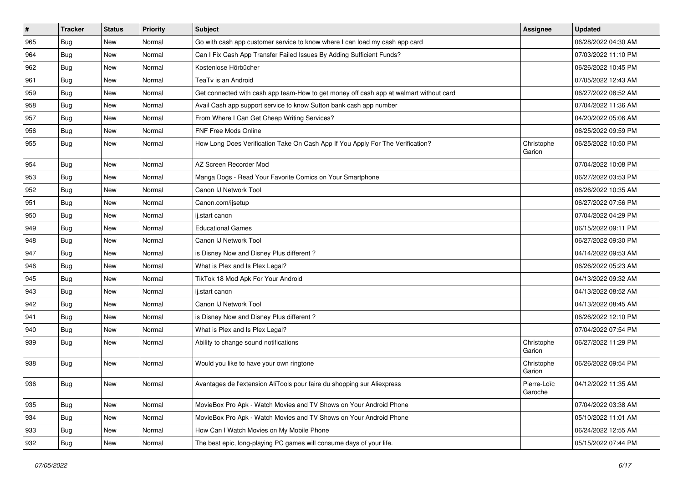| #   | <b>Tracker</b> | <b>Status</b> | Priority | <b>Subject</b>                                                                         | <b>Assignee</b>        | <b>Updated</b>      |
|-----|----------------|---------------|----------|----------------------------------------------------------------------------------------|------------------------|---------------------|
| 965 | <b>Bug</b>     | New           | Normal   | Go with cash app customer service to know where I can load my cash app card            |                        | 06/28/2022 04:30 AM |
| 964 | Bug            | New           | Normal   | Can I Fix Cash App Transfer Failed Issues By Adding Sufficient Funds?                  |                        | 07/03/2022 11:10 PM |
| 962 | <b>Bug</b>     | New           | Normal   | Kostenlose Hörbücher                                                                   |                        | 06/26/2022 10:45 PM |
| 961 | <b>Bug</b>     | New           | Normal   | TeaTv is an Android                                                                    |                        | 07/05/2022 12:43 AM |
| 959 | Bug            | New           | Normal   | Get connected with cash app team-How to get money off cash app at walmart without card |                        | 06/27/2022 08:52 AM |
| 958 | <b>Bug</b>     | New           | Normal   | Avail Cash app support service to know Sutton bank cash app number                     |                        | 07/04/2022 11:36 AM |
| 957 | <b>Bug</b>     | New           | Normal   | From Where I Can Get Cheap Writing Services?                                           |                        | 04/20/2022 05:06 AM |
| 956 | <b>Bug</b>     | New           | Normal   | <b>FNF Free Mods Online</b>                                                            |                        | 06/25/2022 09:59 PM |
| 955 | Bug            | New           | Normal   | How Long Does Verification Take On Cash App If You Apply For The Verification?         | Christophe<br>Garion   | 06/25/2022 10:50 PM |
| 954 | Bug            | New           | Normal   | AZ Screen Recorder Mod                                                                 |                        | 07/04/2022 10:08 PM |
| 953 | <b>Bug</b>     | New           | Normal   | Manga Dogs - Read Your Favorite Comics on Your Smartphone                              |                        | 06/27/2022 03:53 PM |
| 952 | <b>Bug</b>     | New           | Normal   | Canon IJ Network Tool                                                                  |                        | 06/26/2022 10:35 AM |
| 951 | <b>Bug</b>     | New           | Normal   | Canon.com/ijsetup                                                                      |                        | 06/27/2022 07:56 PM |
| 950 | Bug            | New           | Normal   | ij.start canon                                                                         |                        | 07/04/2022 04:29 PM |
| 949 | <b>Bug</b>     | <b>New</b>    | Normal   | <b>Educational Games</b>                                                               |                        | 06/15/2022 09:11 PM |
| 948 | <b>Bug</b>     | New           | Normal   | Canon IJ Network Tool                                                                  |                        | 06/27/2022 09:30 PM |
| 947 | Bug            | New           | Normal   | is Disney Now and Disney Plus different?                                               |                        | 04/14/2022 09:53 AM |
| 946 | Bug            | New           | Normal   | What is Plex and Is Plex Legal?                                                        |                        | 06/26/2022 05:23 AM |
| 945 | <b>Bug</b>     | New           | Normal   | TikTok 18 Mod Apk For Your Android                                                     |                        | 04/13/2022 09:32 AM |
| 943 | Bug            | <b>New</b>    | Normal   | ij.start canon                                                                         |                        | 04/13/2022 08:52 AM |
| 942 | <b>Bug</b>     | New           | Normal   | Canon IJ Network Tool                                                                  |                        | 04/13/2022 08:45 AM |
| 941 | Bug            | New           | Normal   | is Disney Now and Disney Plus different?                                               |                        | 06/26/2022 12:10 PM |
| 940 | Bug            | New           | Normal   | What is Plex and Is Plex Legal?                                                        |                        | 07/04/2022 07:54 PM |
| 939 | <b>Bug</b>     | New           | Normal   | Ability to change sound notifications                                                  | Christophe<br>Garion   | 06/27/2022 11:29 PM |
| 938 | Bug            | <b>New</b>    | Normal   | Would you like to have your own ringtone                                               | Christophe<br>Garion   | 06/26/2022 09:54 PM |
| 936 | <b>Bug</b>     | New           | Normal   | Avantages de l'extension AliTools pour faire du shopping sur Aliexpress                | Pierre-Loïc<br>Garoche | 04/12/2022 11:35 AM |
| 935 | <b>Bug</b>     | New           | Normal   | MovieBox Pro Apk - Watch Movies and TV Shows on Your Android Phone                     |                        | 07/04/2022 03:38 AM |
| 934 | <b>Bug</b>     | New           | Normal   | MovieBox Pro Apk - Watch Movies and TV Shows on Your Android Phone                     |                        | 05/10/2022 11:01 AM |
| 933 | Bug            | New           | Normal   | How Can I Watch Movies on My Mobile Phone                                              |                        | 06/24/2022 12:55 AM |
| 932 | <b>Bug</b>     | New           | Normal   | The best epic, long-playing PC games will consume days of your life.                   |                        | 05/15/2022 07:44 PM |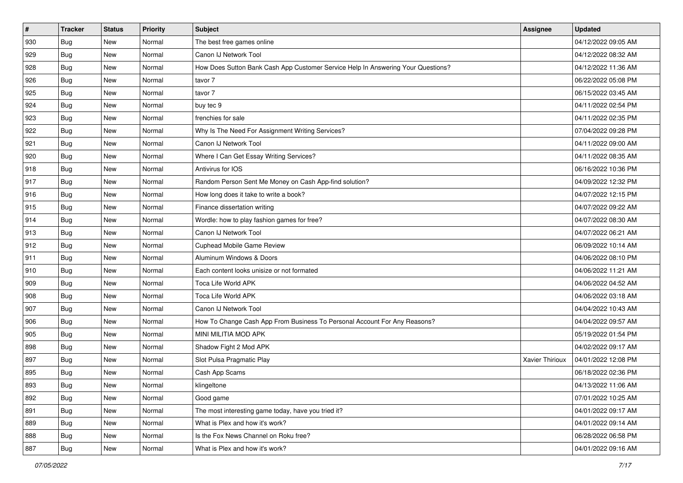| #   | <b>Tracker</b> | <b>Status</b> | Priority | <b>Subject</b>                                                                   | <b>Assignee</b> | <b>Updated</b>      |
|-----|----------------|---------------|----------|----------------------------------------------------------------------------------|-----------------|---------------------|
| 930 | <b>Bug</b>     | New           | Normal   | The best free games online                                                       |                 | 04/12/2022 09:05 AM |
| 929 | Bug            | New           | Normal   | Canon IJ Network Tool                                                            |                 | 04/12/2022 08:32 AM |
| 928 | Bug            | New           | Normal   | How Does Sutton Bank Cash App Customer Service Help In Answering Your Questions? |                 | 04/12/2022 11:36 AM |
| 926 | <b>Bug</b>     | New           | Normal   | tavor 7                                                                          |                 | 06/22/2022 05:08 PM |
| 925 | Bug            | New           | Normal   | tavor 7                                                                          |                 | 06/15/2022 03:45 AM |
| 924 | <b>Bug</b>     | New           | Normal   | buy tec 9                                                                        |                 | 04/11/2022 02:54 PM |
| 923 | Bug            | New           | Normal   | frenchies for sale                                                               |                 | 04/11/2022 02:35 PM |
| 922 | <b>Bug</b>     | New           | Normal   | Why Is The Need For Assignment Writing Services?                                 |                 | 07/04/2022 09:28 PM |
| 921 | <b>Bug</b>     | New           | Normal   | Canon IJ Network Tool                                                            |                 | 04/11/2022 09:00 AM |
| 920 | <b>Bug</b>     | New           | Normal   | Where I Can Get Essay Writing Services?                                          |                 | 04/11/2022 08:35 AM |
| 918 | Bug            | New           | Normal   | Antivirus for IOS                                                                |                 | 06/16/2022 10:36 PM |
| 917 | <b>Bug</b>     | New           | Normal   | Random Person Sent Me Money on Cash App-find solution?                           |                 | 04/09/2022 12:32 PM |
| 916 | Bug            | New           | Normal   | How long does it take to write a book?                                           |                 | 04/07/2022 12:15 PM |
| 915 | <b>Bug</b>     | New           | Normal   | Finance dissertation writing                                                     |                 | 04/07/2022 09:22 AM |
| 914 | <b>Bug</b>     | New           | Normal   | Wordle: how to play fashion games for free?                                      |                 | 04/07/2022 08:30 AM |
| 913 | Bug            | New           | Normal   | Canon IJ Network Tool                                                            |                 | 04/07/2022 06:21 AM |
| 912 | <b>Bug</b>     | New           | Normal   | Cuphead Mobile Game Review                                                       |                 | 06/09/2022 10:14 AM |
| 911 | Bug            | New           | Normal   | Aluminum Windows & Doors                                                         |                 | 04/06/2022 08:10 PM |
| 910 | <b>Bug</b>     | New           | Normal   | Each content looks unisize or not formated                                       |                 | 04/06/2022 11:21 AM |
| 909 | <b>Bug</b>     | New           | Normal   | Toca Life World APK                                                              |                 | 04/06/2022 04:52 AM |
| 908 | <b>Bug</b>     | New           | Normal   | Toca Life World APK                                                              |                 | 04/06/2022 03:18 AM |
| 907 | Bug            | New           | Normal   | Canon IJ Network Tool                                                            |                 | 04/04/2022 10:43 AM |
| 906 | Bug            | New           | Normal   | How To Change Cash App From Business To Personal Account For Any Reasons?        |                 | 04/04/2022 09:57 AM |
| 905 | <b>Bug</b>     | New           | Normal   | MINI MILITIA MOD APK                                                             |                 | 05/19/2022 01:54 PM |
| 898 | Bug            | New           | Normal   | Shadow Fight 2 Mod APK                                                           |                 | 04/02/2022 09:17 AM |
| 897 | Bug            | New           | Normal   | Slot Pulsa Pragmatic Play                                                        | Xavier Thirioux | 04/01/2022 12:08 PM |
| 895 | <b>Bug</b>     | New           | Normal   | Cash App Scams                                                                   |                 | 06/18/2022 02:36 PM |
| 893 | <b>Bug</b>     | New           | Normal   | klingeltone                                                                      |                 | 04/13/2022 11:06 AM |
| 892 | <b>Bug</b>     | New           | Normal   | Good game                                                                        |                 | 07/01/2022 10:25 AM |
| 891 | <b>Bug</b>     | New           | Normal   | The most interesting game today, have you tried it?                              |                 | 04/01/2022 09:17 AM |
| 889 | Bug            | New           | Normal   | What is Plex and how it's work?                                                  |                 | 04/01/2022 09:14 AM |
| 888 | <b>Bug</b>     | New           | Normal   | Is the Fox News Channel on Roku free?                                            |                 | 06/28/2022 06:58 PM |
| 887 | <b>Bug</b>     | New           | Normal   | What is Plex and how it's work?                                                  |                 | 04/01/2022 09:16 AM |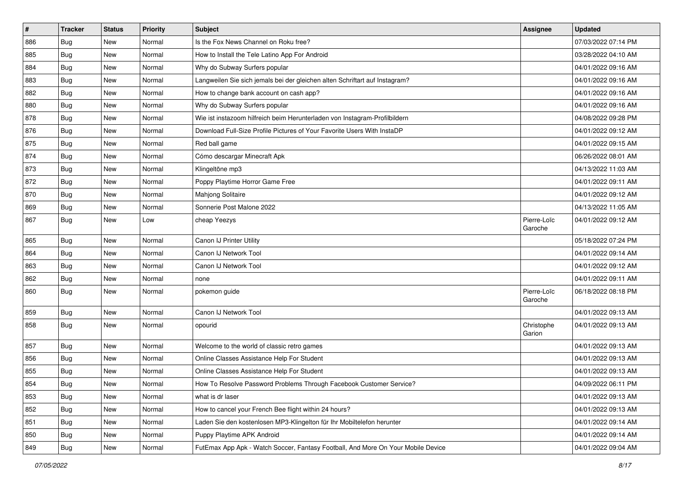| $\vert$ # | <b>Tracker</b> | <b>Status</b> | Priority | Subject                                                                          | Assignee               | <b>Updated</b>      |
|-----------|----------------|---------------|----------|----------------------------------------------------------------------------------|------------------------|---------------------|
| 886       | <b>Bug</b>     | New           | Normal   | Is the Fox News Channel on Roku free?                                            |                        | 07/03/2022 07:14 PM |
| 885       | <b>Bug</b>     | New           | Normal   | How to Install the Tele Latino App For Android                                   |                        | 03/28/2022 04:10 AM |
| 884       | <b>Bug</b>     | New           | Normal   | Why do Subway Surfers popular                                                    |                        | 04/01/2022 09:16 AM |
| 883       | <b>Bug</b>     | New           | Normal   | Langweilen Sie sich jemals bei der gleichen alten Schriftart auf Instagram?      |                        | 04/01/2022 09:16 AM |
| 882       | <b>Bug</b>     | <b>New</b>    | Normal   | How to change bank account on cash app?                                          |                        | 04/01/2022 09:16 AM |
| 880       | Bug            | New           | Normal   | Why do Subway Surfers popular                                                    |                        | 04/01/2022 09:16 AM |
| 878       | <b>Bug</b>     | New           | Normal   | Wie ist instazoom hilfreich beim Herunterladen von Instagram-Profilbildern       |                        | 04/08/2022 09:28 PM |
| 876       | Bug            | New           | Normal   | Download Full-Size Profile Pictures of Your Favorite Users With InstaDP          |                        | 04/01/2022 09:12 AM |
| 875       | <b>Bug</b>     | New           | Normal   | Red ball game                                                                    |                        | 04/01/2022 09:15 AM |
| 874       | Bug            | <b>New</b>    | Normal   | Cómo descargar Minecraft Apk                                                     |                        | 06/26/2022 08:01 AM |
| 873       | <b>Bug</b>     | New           | Normal   | Klingeltöne mp3                                                                  |                        | 04/13/2022 11:03 AM |
| 872       | <b>Bug</b>     | New           | Normal   | Poppy Playtime Horror Game Free                                                  |                        | 04/01/2022 09:11 AM |
| 870       | Bug            | <b>New</b>    | Normal   | Mahjong Solitaire                                                                |                        | 04/01/2022 09:12 AM |
| 869       | <b>Bug</b>     | <b>New</b>    | Normal   | Sonnerie Post Malone 2022                                                        |                        | 04/13/2022 11:05 AM |
| 867       | Bug            | New           | Low      | cheap Yeezys                                                                     | Pierre-Loïc<br>Garoche | 04/01/2022 09:12 AM |
| 865       | <b>Bug</b>     | New           | Normal   | Canon IJ Printer Utility                                                         |                        | 05/18/2022 07:24 PM |
| 864       | Bug            | <b>New</b>    | Normal   | Canon IJ Network Tool                                                            |                        | 04/01/2022 09:14 AM |
| 863       | Bug            | New           | Normal   | Canon IJ Network Tool                                                            |                        | 04/01/2022 09:12 AM |
| 862       | Bug            | New           | Normal   | none                                                                             |                        | 04/01/2022 09:11 AM |
| 860       | Bug            | <b>New</b>    | Normal   | pokemon guide                                                                    | Pierre-Loïc<br>Garoche | 06/18/2022 08:18 PM |
| 859       | Bug            | <b>New</b>    | Normal   | Canon IJ Network Tool                                                            |                        | 04/01/2022 09:13 AM |
| 858       | Bug            | New           | Normal   | opourid                                                                          | Christophe<br>Garion   | 04/01/2022 09:13 AM |
| 857       | Bug            | <b>New</b>    | Normal   | Welcome to the world of classic retro games                                      |                        | 04/01/2022 09:13 AM |
| 856       | <b>Bug</b>     | New           | Normal   | Online Classes Assistance Help For Student                                       |                        | 04/01/2022 09:13 AM |
| 855       | <b>Bug</b>     | New           | Normal   | Online Classes Assistance Help For Student                                       |                        | 04/01/2022 09:13 AM |
| 854       | Bug            | New           | Normal   | How To Resolve Password Problems Through Facebook Customer Service?              |                        | 04/09/2022 06:11 PM |
| 853       | <b>Bug</b>     | New           | Normal   | what is dr laser                                                                 |                        | 04/01/2022 09:13 AM |
| 852       | <b>Bug</b>     | New           | Normal   | How to cancel your French Bee flight within 24 hours?                            |                        | 04/01/2022 09:13 AM |
| 851       | <b>Bug</b>     | New           | Normal   | Laden Sie den kostenlosen MP3-Klingelton für Ihr Mobiltelefon herunter           |                        | 04/01/2022 09:14 AM |
| 850       | Bug            | New           | Normal   | Puppy Playtime APK Android                                                       |                        | 04/01/2022 09:14 AM |
| 849       | Bug            | New           | Normal   | FutEmax App Apk - Watch Soccer, Fantasy Football, And More On Your Mobile Device |                        | 04/01/2022 09:04 AM |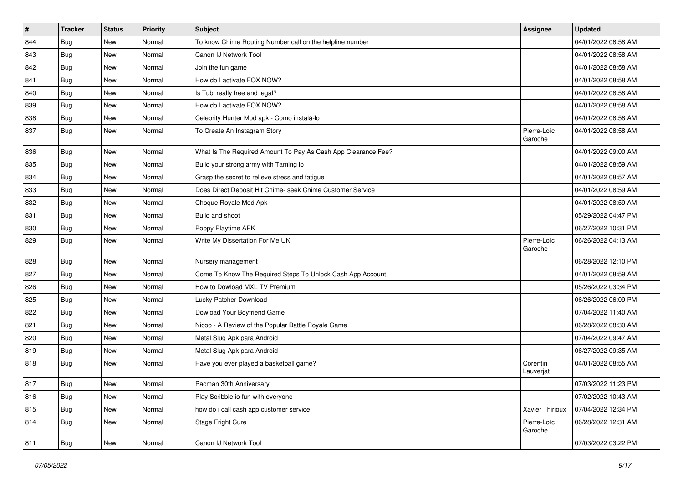| $\vert$ # | <b>Tracker</b> | <b>Status</b> | <b>Priority</b> | Subject                                                       | Assignee               | <b>Updated</b>      |
|-----------|----------------|---------------|-----------------|---------------------------------------------------------------|------------------------|---------------------|
| 844       | <b>Bug</b>     | New           | Normal          | To know Chime Routing Number call on the helpline number      |                        | 04/01/2022 08:58 AM |
| 843       | Bug            | New           | Normal          | Canon IJ Network Tool                                         |                        | 04/01/2022 08:58 AM |
| 842       | <b>Bug</b>     | New           | Normal          | Join the fun game                                             |                        | 04/01/2022 08:58 AM |
| 841       | <b>Bug</b>     | New           | Normal          | How do I activate FOX NOW?                                    |                        | 04/01/2022 08:58 AM |
| 840       | <b>Bug</b>     | New           | Normal          | Is Tubi really free and legal?                                |                        | 04/01/2022 08:58 AM |
| 839       | <b>Bug</b>     | New           | Normal          | How do I activate FOX NOW?                                    |                        | 04/01/2022 08:58 AM |
| 838       | Bug            | New           | Normal          | Celebrity Hunter Mod apk - Como instalá-lo                    |                        | 04/01/2022 08:58 AM |
| 837       | Bug            | New           | Normal          | To Create An Instagram Story                                  | Pierre-Loïc<br>Garoche | 04/01/2022 08:58 AM |
| 836       | Bug            | <b>New</b>    | Normal          | What Is The Required Amount To Pay As Cash App Clearance Fee? |                        | 04/01/2022 09:00 AM |
| 835       | <b>Bug</b>     | New           | Normal          | Build your strong army with Taming io                         |                        | 04/01/2022 08:59 AM |
| 834       | <b>Bug</b>     | New           | Normal          | Grasp the secret to relieve stress and fatigue                |                        | 04/01/2022 08:57 AM |
| 833       | <b>Bug</b>     | <b>New</b>    | Normal          | Does Direct Deposit Hit Chime- seek Chime Customer Service    |                        | 04/01/2022 08:59 AM |
| 832       | <b>Bug</b>     | New           | Normal          | Choque Royale Mod Apk                                         |                        | 04/01/2022 08:59 AM |
| 831       | <b>Bug</b>     | New           | Normal          | Build and shoot                                               |                        | 05/29/2022 04:47 PM |
| 830       | <b>Bug</b>     | New           | Normal          | Poppy Playtime APK                                            |                        | 06/27/2022 10:31 PM |
| 829       | <b>Bug</b>     | New           | Normal          | Write My Dissertation For Me UK                               | Pierre-Loïc<br>Garoche | 06/26/2022 04:13 AM |
| 828       | <b>Bug</b>     | New           | Normal          | Nursery management                                            |                        | 06/28/2022 12:10 PM |
| 827       | Bug            | <b>New</b>    | Normal          | Come To Know The Required Steps To Unlock Cash App Account    |                        | 04/01/2022 08:59 AM |
| 826       | <b>Bug</b>     | New           | Normal          | How to Dowload MXL TV Premium                                 |                        | 05/26/2022 03:34 PM |
| 825       | <b>Bug</b>     | New           | Normal          | Lucky Patcher Download                                        |                        | 06/26/2022 06:09 PM |
| 822       | Bug            | <b>New</b>    | Normal          | Dowload Your Boyfriend Game                                   |                        | 07/04/2022 11:40 AM |
| 821       | <b>Bug</b>     | New           | Normal          | Nicoo - A Review of the Popular Battle Royale Game            |                        | 06/28/2022 08:30 AM |
| 820       | <b>Bug</b>     | New           | Normal          | Metal Slug Apk para Android                                   |                        | 07/04/2022 09:47 AM |
| 819       | Bug            | New           | Normal          | Metal Slug Apk para Android                                   |                        | 06/27/2022 09:35 AM |
| 818       | <b>Bug</b>     | New           | Normal          | Have you ever played a basketball game?                       | Corentin<br>Lauverjat  | 04/01/2022 08:55 AM |
| 817       | Bug            | New           | Normal          | Pacman 30th Anniversary                                       |                        | 07/03/2022 11:23 PM |
| 816       | Bug            | New           | Normal          | Play Scribble io fun with everyone                            |                        | 07/02/2022 10:43 AM |
| 815       | Bug            | New           | Normal          | how do i call cash app customer service                       | Xavier Thirioux        | 07/04/2022 12:34 PM |
| 814       | Bug            | New           | Normal          | Stage Fright Cure                                             | Pierre-Loïc<br>Garoche | 06/28/2022 12:31 AM |
| 811       | Bug            | New           | Normal          | Canon IJ Network Tool                                         |                        | 07/03/2022 03:22 PM |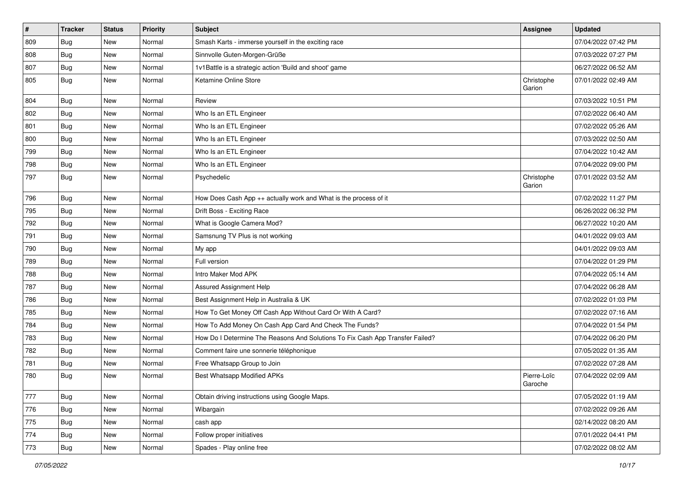| $\vert$ # | <b>Tracker</b> | <b>Status</b> | <b>Priority</b> | <b>Subject</b>                                                                | Assignee               | <b>Updated</b>      |
|-----------|----------------|---------------|-----------------|-------------------------------------------------------------------------------|------------------------|---------------------|
| 809       | <b>Bug</b>     | New           | Normal          | Smash Karts - immerse yourself in the exciting race                           |                        | 07/04/2022 07:42 PM |
| 808       | Bug            | <b>New</b>    | Normal          | Sinnvolle Guten-Morgen-Grüße                                                  |                        | 07/03/2022 07:27 PM |
| 807       | Bug            | New           | Normal          | 1v1Battle is a strategic action 'Build and shoot' game                        |                        | 06/27/2022 06:52 AM |
| 805       | <b>Bug</b>     | New           | Normal          | Ketamine Online Store                                                         | Christophe<br>Garion   | 07/01/2022 02:49 AM |
| 804       | Bug            | <b>New</b>    | Normal          | Review                                                                        |                        | 07/03/2022 10:51 PM |
| 802       | Bug            | <b>New</b>    | Normal          | Who Is an ETL Engineer                                                        |                        | 07/02/2022 06:40 AM |
| 801       | <b>Bug</b>     | New           | Normal          | Who Is an ETL Engineer                                                        |                        | 07/02/2022 05:26 AM |
| 800       | <b>Bug</b>     | <b>New</b>    | Normal          | Who Is an ETL Engineer                                                        |                        | 07/03/2022 02:50 AM |
| 799       | Bug            | <b>New</b>    | Normal          | Who Is an ETL Engineer                                                        |                        | 07/04/2022 10:42 AM |
| 798       | <b>Bug</b>     | New           | Normal          | Who Is an ETL Engineer                                                        |                        | 07/04/2022 09:00 PM |
| 797       | <b>Bug</b>     | New           | Normal          | Psychedelic                                                                   | Christophe<br>Garion   | 07/01/2022 03:52 AM |
| 796       | <b>Bug</b>     | <b>New</b>    | Normal          | How Does Cash App ++ actually work and What is the process of it              |                        | 07/02/2022 11:27 PM |
| 795       | Bug            | <b>New</b>    | Normal          | Drift Boss - Exciting Race                                                    |                        | 06/26/2022 06:32 PM |
| 792       | <b>Bug</b>     | New           | Normal          | What is Google Camera Mod?                                                    |                        | 06/27/2022 10:20 AM |
| 791       | Bug            | New           | Normal          | Samsnung TV Plus is not working                                               |                        | 04/01/2022 09:03 AM |
| 790       | Bug            | <b>New</b>    | Normal          | My app                                                                        |                        | 04/01/2022 09:03 AM |
| 789       | <b>Bug</b>     | New           | Normal          | Full version                                                                  |                        | 07/04/2022 01:29 PM |
| 788       | Bug            | <b>New</b>    | Normal          | Intro Maker Mod APK                                                           |                        | 07/04/2022 05:14 AM |
| 787       | <b>Bug</b>     | <b>New</b>    | Normal          | Assured Assignment Help                                                       |                        | 07/04/2022 06:28 AM |
| 786       | <b>Bug</b>     | New           | Normal          | Best Assignment Help in Australia & UK                                        |                        | 07/02/2022 01:03 PM |
| 785       | Bug            | <b>New</b>    | Normal          | How To Get Money Off Cash App Without Card Or With A Card?                    |                        | 07/02/2022 07:16 AM |
| 784       | <b>Bug</b>     | New           | Normal          | How To Add Money On Cash App Card And Check The Funds?                        |                        | 07/04/2022 01:54 PM |
| 783       | <b>Bug</b>     | New           | Normal          | How Do I Determine The Reasons And Solutions To Fix Cash App Transfer Failed? |                        | 07/04/2022 06:20 PM |
| 782       | <b>Bug</b>     | <b>New</b>    | Normal          | Comment faire une sonnerie téléphonique                                       |                        | 07/05/2022 01:35 AM |
| 781       | <b>Bug</b>     | New           | Normal          | Free Whatsapp Group to Join                                                   |                        | 07/02/2022 07:28 AM |
| 780       | Bug            | New           | Normal          | <b>Best Whatsapp Modified APKs</b>                                            | Pierre-Loïc<br>Garoche | 07/04/2022 02:09 AM |
| 777       | Bug            | <b>New</b>    | Normal          | Obtain driving instructions using Google Maps.                                |                        | 07/05/2022 01:19 AM |
| 776       | Bug            | New           | Normal          | Wibargain                                                                     |                        | 07/02/2022 09:26 AM |
| 775       | Bug            | New           | Normal          | cash app                                                                      |                        | 02/14/2022 08:20 AM |
| 774       | <b>Bug</b>     | New           | Normal          | Follow proper initiatives                                                     |                        | 07/01/2022 04:41 PM |
| 773       | Bug            | New           | Normal          | Spades - Play online free                                                     |                        | 07/02/2022 08:02 AM |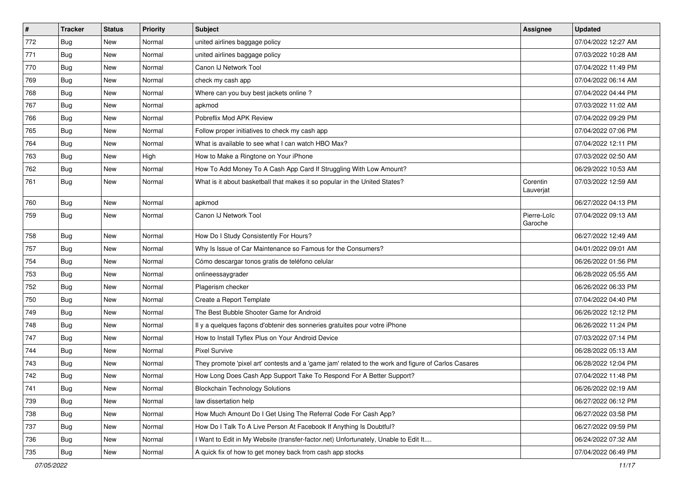| $\sharp$ | <b>Tracker</b> | <b>Status</b> | <b>Priority</b> | Subject                                                                                             | <b>Assignee</b>        | <b>Updated</b>      |
|----------|----------------|---------------|-----------------|-----------------------------------------------------------------------------------------------------|------------------------|---------------------|
| 772      | <b>Bug</b>     | New           | Normal          | united airlines baggage policy                                                                      |                        | 07/04/2022 12:27 AM |
| 771      | Bug            | <b>New</b>    | Normal          | united airlines baggage policy                                                                      |                        | 07/03/2022 10:28 AM |
| 770      | <b>Bug</b>     | New           | Normal          | Canon IJ Network Tool                                                                               |                        | 07/04/2022 11:49 PM |
| 769      | Bug            | New           | Normal          | check my cash app                                                                                   |                        | 07/04/2022 06:14 AM |
| 768      | Bug            | New           | Normal          | Where can you buy best jackets online?                                                              |                        | 07/04/2022 04:44 PM |
| 767      | Bug            | New           | Normal          | apkmod                                                                                              |                        | 07/03/2022 11:02 AM |
| 766      | Bug            | <b>New</b>    | Normal          | Pobreflix Mod APK Review                                                                            |                        | 07/04/2022 09:29 PM |
| 765      | <b>Bug</b>     | New           | Normal          | Follow proper initiatives to check my cash app                                                      |                        | 07/04/2022 07:06 PM |
| 764      | <b>Bug</b>     | New           | Normal          | What is available to see what I can watch HBO Max?                                                  |                        | 07/04/2022 12:11 PM |
| 763      | Bug            | New           | High            | How to Make a Ringtone on Your iPhone                                                               |                        | 07/03/2022 02:50 AM |
| 762      | <b>Bug</b>     | New           | Normal          | How To Add Money To A Cash App Card If Struggling With Low Amount?                                  |                        | 06/29/2022 10:53 AM |
| 761      | Bug            | New           | Normal          | What is it about basketball that makes it so popular in the United States?                          | Corentin<br>Lauverjat  | 07/03/2022 12:59 AM |
| 760      | <b>Bug</b>     | New           | Normal          | apkmod                                                                                              |                        | 06/27/2022 04:13 PM |
| 759      | <b>Bug</b>     | New           | Normal          | Canon IJ Network Tool                                                                               | Pierre-Loïc<br>Garoche | 07/04/2022 09:13 AM |
| 758      | <b>Bug</b>     | New           | Normal          | How Do I Study Consistently For Hours?                                                              |                        | 06/27/2022 12:49 AM |
| 757      | Bug            | New           | Normal          | Why Is Issue of Car Maintenance so Famous for the Consumers?                                        |                        | 04/01/2022 09:01 AM |
| 754      | <b>Bug</b>     | New           | Normal          | Cómo descargar tonos gratis de teléfono celular                                                     |                        | 06/26/2022 01:56 PM |
| 753      | Bug            | New           | Normal          | onlineessaygrader                                                                                   |                        | 06/28/2022 05:55 AM |
| 752      | <b>Bug</b>     | <b>New</b>    | Normal          | Plagerism checker                                                                                   |                        | 06/26/2022 06:33 PM |
| 750      | Bug            | New           | Normal          | Create a Report Template                                                                            |                        | 07/04/2022 04:40 PM |
| 749      | Bug            | <b>New</b>    | Normal          | The Best Bubble Shooter Game for Android                                                            |                        | 06/26/2022 12:12 PM |
| 748      | <b>Bug</b>     | New           | Normal          | Il y a quelques façons d'obtenir des sonneries gratuites pour votre iPhone                          |                        | 06/26/2022 11:24 PM |
| 747      | Bug            | New           | Normal          | How to Install Tyflex Plus on Your Android Device                                                   |                        | 07/03/2022 07:14 PM |
| 744      | Bug            | New           | Normal          | <b>Pixel Survive</b>                                                                                |                        | 06/28/2022 05:13 AM |
| 743      | <b>Bug</b>     | New           | Normal          | They promote 'pixel art' contests and a 'game jam' related to the work and figure of Carlos Casares |                        | 06/28/2022 12:04 PM |
| 742      | <b>Bug</b>     | New           | Normal          | How Long Does Cash App Support Take To Respond For A Better Support?                                |                        | 07/04/2022 11:48 PM |
| 741      | Bug            | New           | Normal          | <b>Blockchain Technology Solutions</b>                                                              |                        | 06/26/2022 02:19 AM |
| 739      | Bug            | New           | Normal          | law dissertation help                                                                               |                        | 06/27/2022 06:12 PM |
| 738      | Bug            | New           | Normal          | How Much Amount Do I Get Using The Referral Code For Cash App?                                      |                        | 06/27/2022 03:58 PM |
| 737      | <b>Bug</b>     | New           | Normal          | How Do I Talk To A Live Person At Facebook If Anything Is Doubtful?                                 |                        | 06/27/2022 09:59 PM |
| 736      | Bug            | New           | Normal          | I Want to Edit in My Website (transfer-factor.net) Unfortunately, Unable to Edit It                 |                        | 06/24/2022 07:32 AM |
| 735      | <b>Bug</b>     | New           | Normal          | A quick fix of how to get money back from cash app stocks                                           |                        | 07/04/2022 06:49 PM |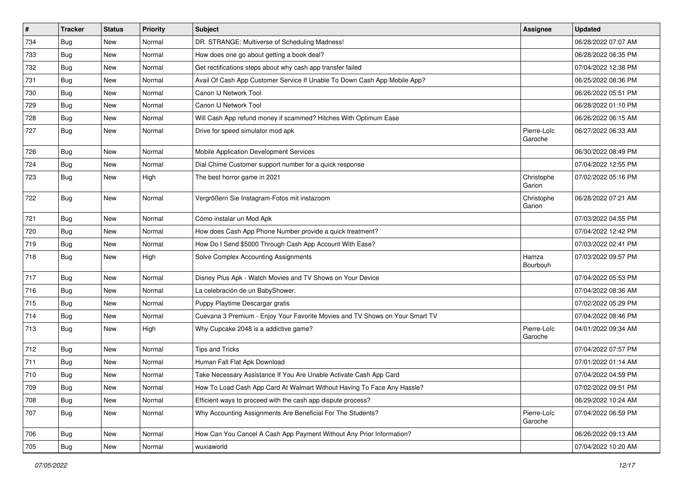| $\sharp$ | <b>Tracker</b> | <b>Status</b> | <b>Priority</b> | Subject                                                                      | <b>Assignee</b>        | <b>Updated</b>      |
|----------|----------------|---------------|-----------------|------------------------------------------------------------------------------|------------------------|---------------------|
| 734      | <b>Bug</b>     | New           | Normal          | DR. STRANGE: Multiverse of Scheduling Madness!                               |                        | 06/28/2022 07:07 AM |
| 733      | Bug            | <b>New</b>    | Normal          | How does one go about getting a book deal?                                   |                        | 06/28/2022 06:35 PM |
| 732      | Bug            | New           | Normal          | Get rectifications steps about why cash app transfer failed                  |                        | 07/04/2022 12:38 PM |
| 731      | <b>Bug</b>     | New           | Normal          | Avail Of Cash App Customer Service If Unable To Down Cash App Mobile App?    |                        | 06/25/2022 08:36 PM |
| 730      | <b>Bug</b>     | <b>New</b>    | Normal          | Canon IJ Network Tool                                                        |                        | 06/26/2022 05:51 PM |
| 729      | <b>Bug</b>     | New           | Normal          | Canon IJ Network Tool                                                        |                        | 06/28/2022 01:10 PM |
| 728      | <b>Bug</b>     | New           | Normal          | Will Cash App refund money if scammed? Hitches With Optimum Ease             |                        | 06/26/2022 06:15 AM |
| 727      | Bug            | New           | Normal          | Drive for speed simulator mod apk                                            | Pierre-Loïc<br>Garoche | 06/27/2022 06:33 AM |
| 726      | Bug            | <b>New</b>    | Normal          | Mobile Application Development Services                                      |                        | 06/30/2022 08:49 PM |
| 724      | Bug            | New           | Normal          | Dial Chime Customer support number for a quick response                      |                        | 07/04/2022 12:55 PM |
| 723      | <b>Bug</b>     | New           | High            | The best horror game in 2021                                                 | Christophe<br>Garion   | 07/02/2022 05:16 PM |
| 722      | Bug            | New           | Normal          | Vergrößern Sie Instagram-Fotos mit instazoom                                 | Christophe<br>Garion   | 06/28/2022 07:21 AM |
| 721      | Bug            | New           | Normal          | Cómo instalar un Mod Apk                                                     |                        | 07/03/2022 04:55 PM |
| 720      | Bug            | New           | Normal          | How does Cash App Phone Number provide a quick treatment?                    |                        | 07/04/2022 12:42 PM |
| 719      | Bug            | New           | Normal          | How Do I Send \$5000 Through Cash App Account With Ease?                     |                        | 07/03/2022 02:41 PM |
| 718      | Bug            | New           | High            | Solve Complex Accounting Assignments                                         | Hamza<br>Bourbouh      | 07/03/2022 09:57 PM |
| 717      | <b>Bug</b>     | <b>New</b>    | Normal          | Disney Plus Apk - Watch Movies and TV Shows on Your Device                   |                        | 07/04/2022 05:53 PM |
| 716      | Bug            | New           | Normal          | La celebración de un BabyShower.                                             |                        | 07/04/2022 08:36 AM |
| 715      | Bug            | New           | Normal          | Puppy Playtime Descargar gratis                                              |                        | 07/02/2022 05:29 PM |
| 714      | Bug            | New           | Normal          | Cuevana 3 Premium - Enjoy Your Favorite Movies and TV Shows on Your Smart TV |                        | 07/04/2022 08:46 PM |
| 713      | <b>Bug</b>     | New           | High            | Why Cupcake 2048 is a addictive game?                                        | Pierre-Loïc<br>Garoche | 04/01/2022 09:34 AM |
| 712      | <b>Bug</b>     | New           | Normal          | <b>Tips and Tricks</b>                                                       |                        | 07/04/2022 07:57 PM |
| 711      | Bug            | New           | Normal          | Human Fall Flat Apk Download                                                 |                        | 07/01/2022 01:14 AM |
| 710      | <b>Bug</b>     | New           | Normal          | Take Necessary Assistance If You Are Unable Activate Cash App Card           |                        | 07/04/2022 04:59 PM |
| 709      | Bug            | New           | Normal          | How To Load Cash App Card At Walmart Without Having To Face Any Hassle?      |                        | 07/02/2022 09:51 PM |
| 708      | <b>Bug</b>     | New           | Normal          | Efficient ways to proceed with the cash app dispute process?                 |                        | 06/29/2022 10:24 AM |
| 707      | <b>Bug</b>     | New           | Normal          | Why Accounting Assignments Are Beneficial For The Students?                  | Pierre-Loïc<br>Garoche | 07/04/2022 06:59 PM |
| 706      | <b>Bug</b>     | New           | Normal          | How Can You Cancel A Cash App Payment Without Any Prior Information?         |                        | 06/26/2022 09:13 AM |
| 705      | <b>Bug</b>     | New           | Normal          | wuxiaworld                                                                   |                        | 07/04/2022 10:20 AM |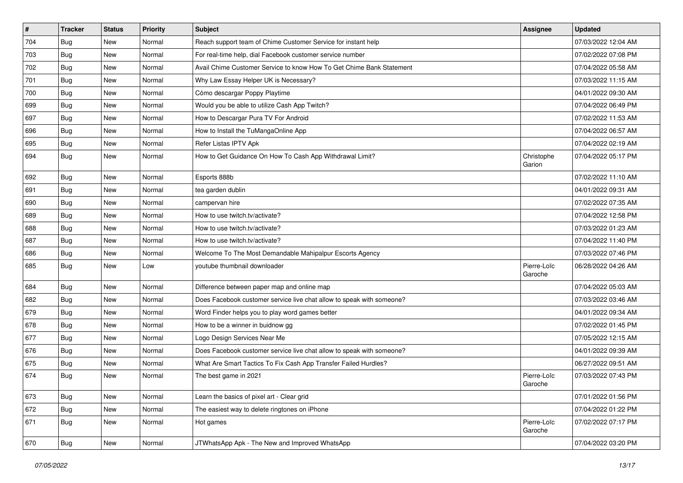| $\vert$ # | <b>Tracker</b> | <b>Status</b> | Priority | <b>Subject</b>                                                        | Assignee               | <b>Updated</b>      |
|-----------|----------------|---------------|----------|-----------------------------------------------------------------------|------------------------|---------------------|
| 704       | <b>Bug</b>     | New           | Normal   | Reach support team of Chime Customer Service for instant help         |                        | 07/03/2022 12:04 AM |
| 703       | <b>Bug</b>     | <b>New</b>    | Normal   | For real-time help, dial Facebook customer service number             |                        | 07/02/2022 07:08 PM |
| 702       | <b>Bug</b>     | New           | Normal   | Avail Chime Customer Service to know How To Get Chime Bank Statement  |                        | 07/04/2022 05:58 AM |
| 701       | <b>Bug</b>     | New           | Normal   | Why Law Essay Helper UK is Necessary?                                 |                        | 07/03/2022 11:15 AM |
| 700       | <b>Bug</b>     | <b>New</b>    | Normal   | Cómo descargar Poppy Playtime                                         |                        | 04/01/2022 09:30 AM |
| 699       | <b>Bug</b>     | New           | Normal   | Would you be able to utilize Cash App Twitch?                         |                        | 07/04/2022 06:49 PM |
| 697       | <b>Bug</b>     | New           | Normal   | How to Descargar Pura TV For Android                                  |                        | 07/02/2022 11:53 AM |
| 696       | <b>Bug</b>     | New           | Normal   | How to Install the TuMangaOnline App                                  |                        | 07/04/2022 06:57 AM |
| 695       | Bug            | New           | Normal   | Refer Listas IPTV Apk                                                 |                        | 07/04/2022 02:19 AM |
| 694       | Bug            | <b>New</b>    | Normal   | How to Get Guidance On How To Cash App Withdrawal Limit?              | Christophe<br>Garion   | 07/04/2022 05:17 PM |
| 692       | <b>Bug</b>     | New           | Normal   | Esports 888b                                                          |                        | 07/02/2022 11:10 AM |
| 691       | <b>Bug</b>     | <b>New</b>    | Normal   | tea garden dublin                                                     |                        | 04/01/2022 09:31 AM |
| 690       | <b>Bug</b>     | New           | Normal   | campervan hire                                                        |                        | 07/02/2022 07:35 AM |
| 689       | Bug            | <b>New</b>    | Normal   | How to use twitch.tv/activate?                                        |                        | 07/04/2022 12:58 PM |
| 688       | <b>Bug</b>     | New           | Normal   | How to use twitch.tv/activate?                                        |                        | 07/03/2022 01:23 AM |
| 687       | <b>Bug</b>     | New           | Normal   | How to use twitch.tv/activate?                                        |                        | 07/04/2022 11:40 PM |
| 686       | Bug            | <b>New</b>    | Normal   | Welcome To The Most Demandable Mahipalpur Escorts Agency              |                        | 07/03/2022 07:46 PM |
| 685       | Bug            | New           | Low      | youtube thumbnail downloader                                          | Pierre-Loïc<br>Garoche | 06/28/2022 04:26 AM |
| 684       | <b>Bug</b>     | <b>New</b>    | Normal   | Difference between paper map and online map                           |                        | 07/04/2022 05:03 AM |
| 682       | Bug            | <b>New</b>    | Normal   | Does Facebook customer service live chat allow to speak with someone? |                        | 07/03/2022 03:46 AM |
| 679       | <b>Bug</b>     | New           | Normal   | Word Finder helps you to play word games better                       |                        | 04/01/2022 09:34 AM |
| 678       | <b>Bug</b>     | New           | Normal   | How to be a winner in buidnow gg                                      |                        | 07/02/2022 01:45 PM |
| 677       | <b>Bug</b>     | New           | Normal   | Logo Design Services Near Me                                          |                        | 07/05/2022 12:15 AM |
| 676       | Bug            | <b>New</b>    | Normal   | Does Facebook customer service live chat allow to speak with someone? |                        | 04/01/2022 09:39 AM |
| 675       | <b>Bug</b>     | New           | Normal   | What Are Smart Tactics To Fix Cash App Transfer Failed Hurdles?       |                        | 06/27/2022 09:51 AM |
| 674       | Bug            | New           | Normal   | The best game in 2021                                                 | Pierre-Loïc<br>Garoche | 07/03/2022 07:43 PM |
| 673       | Bug            | <b>New</b>    | Normal   | Learn the basics of pixel art - Clear grid                            |                        | 07/01/2022 01:56 PM |
| 672       | Bug            | <b>New</b>    | Normal   | The easiest way to delete ringtones on iPhone                         |                        | 07/04/2022 01:22 PM |
| 671       | <b>Bug</b>     | New           | Normal   | Hot games                                                             | Pierre-Loïc<br>Garoche | 07/02/2022 07:17 PM |
| 670       | Bug            | New           | Normal   | JTWhatsApp Apk - The New and Improved WhatsApp                        |                        | 07/04/2022 03:20 PM |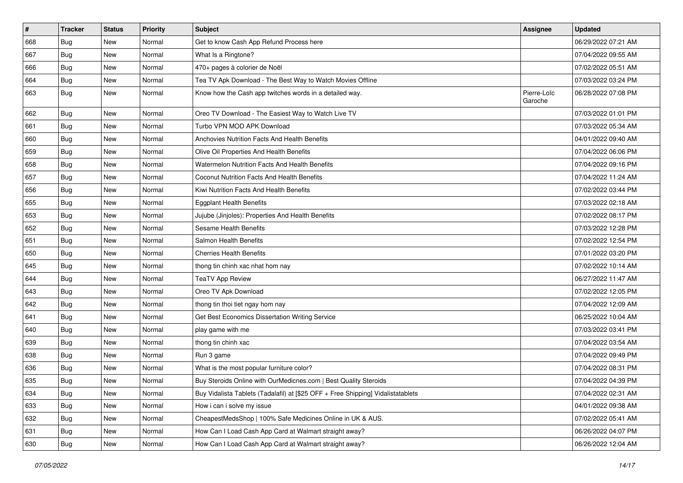| $\vert$ # | <b>Tracker</b> | <b>Status</b> | <b>Priority</b> | Subject                                                                          | Assignee               | <b>Updated</b>      |
|-----------|----------------|---------------|-----------------|----------------------------------------------------------------------------------|------------------------|---------------------|
| 668       | Bug            | New           | Normal          | Get to know Cash App Refund Process here                                         |                        | 06/29/2022 07:21 AM |
| 667       | Bug            | <b>New</b>    | Normal          | What Is a Ringtone?                                                              |                        | 07/04/2022 09:55 AM |
| 666       | <b>Bug</b>     | New           | Normal          | 470+ pages à colorier de Noël                                                    |                        | 07/02/2022 05:51 AM |
| 664       | Bug            | New           | Normal          | Tea TV Apk Download - The Best Way to Watch Movies Offline                       |                        | 07/03/2022 03:24 PM |
| 663       | Bug            | New           | Normal          | Know how the Cash app twitches words in a detailed way.                          | Pierre-Loïc<br>Garoche | 06/28/2022 07:08 PM |
| 662       | <b>Bug</b>     | New           | Normal          | Oreo TV Download - The Easiest Way to Watch Live TV                              |                        | 07/03/2022 01:01 PM |
| 661       | <b>Bug</b>     | New           | Normal          | Turbo VPN MOD APK Download                                                       |                        | 07/03/2022 05:34 AM |
| 660       | <b>Bug</b>     | New           | Normal          | <b>Anchovies Nutrition Facts And Health Benefits</b>                             |                        | 04/01/2022 09:40 AM |
| 659       | Bug            | <b>New</b>    | Normal          | Olive Oil Properties And Health Benefits                                         |                        | 07/04/2022 06:06 PM |
| 658       | <b>Bug</b>     | New           | Normal          | Watermelon Nutrition Facts And Health Benefits                                   |                        | 07/04/2022 09:16 PM |
| 657       | <b>Bug</b>     | New           | Normal          | Coconut Nutrition Facts And Health Benefits                                      |                        | 07/04/2022 11:24 AM |
| 656       | <b>Bug</b>     | New           | Normal          | Kiwi Nutrition Facts And Health Benefits                                         |                        | 07/02/2022 03:44 PM |
| 655       | <b>Bug</b>     | New           | Normal          | <b>Eggplant Health Benefits</b>                                                  |                        | 07/03/2022 02:18 AM |
| 653       | Bug            | New           | Normal          | Jujube (Jinjoles): Properties And Health Benefits                                |                        | 07/02/2022 08:17 PM |
| 652       | Bug            | New           | Normal          | <b>Sesame Health Benefits</b>                                                    |                        | 07/03/2022 12:28 PM |
| 651       | Bug            | New           | Normal          | Salmon Health Benefits                                                           |                        | 07/02/2022 12:54 PM |
| 650       | Bug            | New           | Normal          | <b>Cherries Health Benefits</b>                                                  |                        | 07/01/2022 03:20 PM |
| 645       | <b>Bug</b>     | New           | Normal          | thong tin chinh xac nhat hom nay                                                 |                        | 07/02/2022 10:14 AM |
| 644       | <b>Bug</b>     | New           | Normal          | <b>TeaTV App Review</b>                                                          |                        | 06/27/2022 11:47 AM |
| 643       | Bug            | New           | Normal          | Oreo TV Apk Download                                                             |                        | 07/02/2022 12:05 PM |
| 642       | Bug            | New           | Normal          | thong tin thoi tiet ngay hom nay                                                 |                        | 07/04/2022 12:09 AM |
| 641       | Bug            | <b>New</b>    | Normal          | Get Best Economics Dissertation Writing Service                                  |                        | 06/25/2022 10:04 AM |
| 640       | <b>Bug</b>     | New           | Normal          | play game with me                                                                |                        | 07/03/2022 03:41 PM |
| 639       | <b>Bug</b>     | New           | Normal          | thong tin chinh xac                                                              |                        | 07/04/2022 03:54 AM |
| 638       | Bug            | New           | Normal          | Run 3 game                                                                       |                        | 07/04/2022 09:49 PM |
| 636       | Bug            | New           | Normal          | What is the most popular furniture color?                                        |                        | 07/04/2022 08:31 PM |
| 635       | <b>Bug</b>     | New           | Normal          | Buy Steroids Online with OurMedicnes.com   Best Quality Steroids                 |                        | 07/04/2022 04:39 PM |
| 634       | <b>Bug</b>     | New           | Normal          | Buy Vidalista Tablets (Tadalafil) at [\$25 OFF + Free Shipping] Vidalistatablets |                        | 07/04/2022 02:31 AM |
| 633       | <b>Bug</b>     | New           | Normal          | How i can i solve my issue                                                       |                        | 04/01/2022 09:38 AM |
| 632       | Bug            | New           | Normal          | CheapestMedsShop   100% Safe Medicines Online in UK & AUS.                       |                        | 07/02/2022 05:41 AM |
| 631       | <b>Bug</b>     | New           | Normal          | How Can I Load Cash App Card at Walmart straight away?                           |                        | 06/26/2022 04:07 PM |
| 630       | <b>Bug</b>     | New           | Normal          | How Can I Load Cash App Card at Walmart straight away?                           |                        | 06/26/2022 12:04 AM |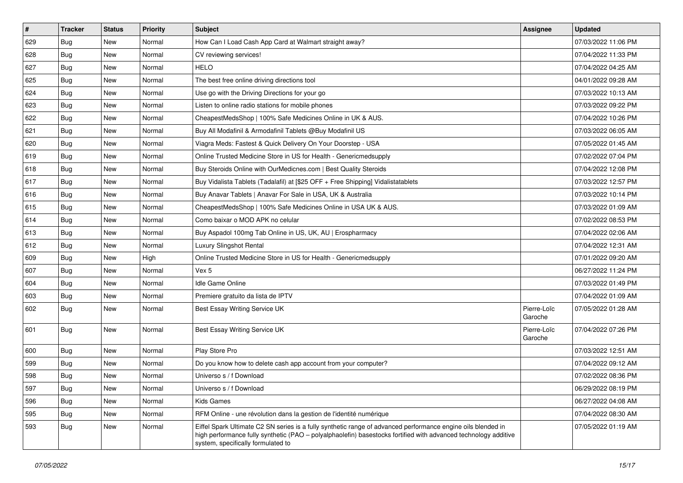| #   | Tracker    | <b>Status</b> | <b>Priority</b> | Subject                                                                                                                                                                                                                                                               | <b>Assignee</b>        | <b>Updated</b>      |
|-----|------------|---------------|-----------------|-----------------------------------------------------------------------------------------------------------------------------------------------------------------------------------------------------------------------------------------------------------------------|------------------------|---------------------|
| 629 | Bug        | New           | Normal          | How Can I Load Cash App Card at Walmart straight away?                                                                                                                                                                                                                |                        | 07/03/2022 11:06 PM |
| 628 | Bug        | <b>New</b>    | Normal          | CV reviewing services!                                                                                                                                                                                                                                                |                        | 07/04/2022 11:33 PM |
| 627 | Bug        | New           | Normal          | <b>HELO</b>                                                                                                                                                                                                                                                           |                        | 07/04/2022 04:25 AM |
| 625 | Bug        | New           | Normal          | The best free online driving directions tool                                                                                                                                                                                                                          |                        | 04/01/2022 09:28 AM |
| 624 | Bug        | <b>New</b>    | Normal          | Use go with the Driving Directions for your go                                                                                                                                                                                                                        |                        | 07/03/2022 10:13 AM |
| 623 | Bug        | New           | Normal          | Listen to online radio stations for mobile phones                                                                                                                                                                                                                     |                        | 07/03/2022 09:22 PM |
| 622 | <b>Bug</b> | <b>New</b>    | Normal          | CheapestMedsShop   100% Safe Medicines Online in UK & AUS.                                                                                                                                                                                                            |                        | 07/04/2022 10:26 PM |
| 621 | Bug        | New           | Normal          | Buy All Modafinil & Armodafinil Tablets @Buy Modafinil US                                                                                                                                                                                                             |                        | 07/03/2022 06:05 AM |
| 620 | Bug        | <b>New</b>    | Normal          | Viagra Meds: Fastest & Quick Delivery On Your Doorstep - USA                                                                                                                                                                                                          |                        | 07/05/2022 01:45 AM |
| 619 | Bug        | <b>New</b>    | Normal          | Online Trusted Medicine Store in US for Health - Genericmedsupply                                                                                                                                                                                                     |                        | 07/02/2022 07:04 PM |
| 618 | <b>Bug</b> | <b>New</b>    | Normal          | Buy Steroids Online with OurMedicnes.com   Best Quality Steroids                                                                                                                                                                                                      |                        | 07/04/2022 12:08 PM |
| 617 | Bug        | New           | Normal          | Buy Vidalista Tablets (Tadalafil) at [\$25 OFF + Free Shipping] Vidalistatablets                                                                                                                                                                                      |                        | 07/03/2022 12:57 PM |
| 616 | Bug        | New           | Normal          | Buy Anavar Tablets   Anavar For Sale in USA, UK & Australia                                                                                                                                                                                                           |                        | 07/03/2022 10:14 PM |
| 615 | <b>Bug</b> | <b>New</b>    | Normal          | CheapestMedsShop   100% Safe Medicines Online in USA UK & AUS.                                                                                                                                                                                                        |                        | 07/03/2022 01:09 AM |
| 614 | Bug        | <b>New</b>    | Normal          | Como baixar o MOD APK no celular                                                                                                                                                                                                                                      |                        | 07/02/2022 08:53 PM |
| 613 | <b>Bug</b> | New           | Normal          | Buy Aspadol 100mg Tab Online in US, UK, AU   Erospharmacy                                                                                                                                                                                                             |                        | 07/04/2022 02:06 AM |
| 612 | <b>Bug</b> | New           | Normal          | Luxury Slingshot Rental                                                                                                                                                                                                                                               |                        | 07/04/2022 12:31 AM |
| 609 | Bug        | New           | High            | Online Trusted Medicine Store in US for Health - Genericmedsupply                                                                                                                                                                                                     |                        | 07/01/2022 09:20 AM |
| 607 | Bug        | New           | Normal          | Vex 5                                                                                                                                                                                                                                                                 |                        | 06/27/2022 11:24 PM |
| 604 | Bug        | <b>New</b>    | Normal          | <b>Idle Game Online</b>                                                                                                                                                                                                                                               |                        | 07/03/2022 01:49 PM |
| 603 | Bug        | New           | Normal          | Premiere gratuito da lista de IPTV                                                                                                                                                                                                                                    |                        | 07/04/2022 01:09 AM |
| 602 | Bug        | New           | Normal          | Best Essay Writing Service UK                                                                                                                                                                                                                                         | Pierre-Loïc<br>Garoche | 07/05/2022 01:28 AM |
| 601 | Bug        | New           | Normal          | Best Essay Writing Service UK                                                                                                                                                                                                                                         | Pierre-Loïc<br>Garoche | 07/04/2022 07:26 PM |
| 600 | Bug        | <b>New</b>    | Normal          | Play Store Pro                                                                                                                                                                                                                                                        |                        | 07/03/2022 12:51 AM |
| 599 | <b>Bug</b> | New           | Normal          | Do you know how to delete cash app account from your computer?                                                                                                                                                                                                        |                        | 07/04/2022 09:12 AM |
| 598 | <b>Bug</b> | <b>New</b>    | Normal          | Universo s / f Download                                                                                                                                                                                                                                               |                        | 07/02/2022 08:36 PM |
| 597 | <b>Bug</b> | New           | Normal          | Universo s / f Download                                                                                                                                                                                                                                               |                        | 06/29/2022 08:19 PM |
| 596 | <b>Bug</b> | <b>New</b>    | Normal          | Kids Games                                                                                                                                                                                                                                                            |                        | 06/27/2022 04:08 AM |
| 595 | Bug        | New           | Normal          | RFM Online - une révolution dans la gestion de l'identité numérique                                                                                                                                                                                                   |                        | 07/04/2022 08:30 AM |
| 593 | <b>Bug</b> | New           | Normal          | Eiffel Spark Ultimate C2 SN series is a fully synthetic range of advanced performance engine oils blended in<br>high performance fully synthetic (PAO - polyalphaolefin) basestocks fortified with advanced technology additive<br>system, specifically formulated to |                        | 07/05/2022 01:19 AM |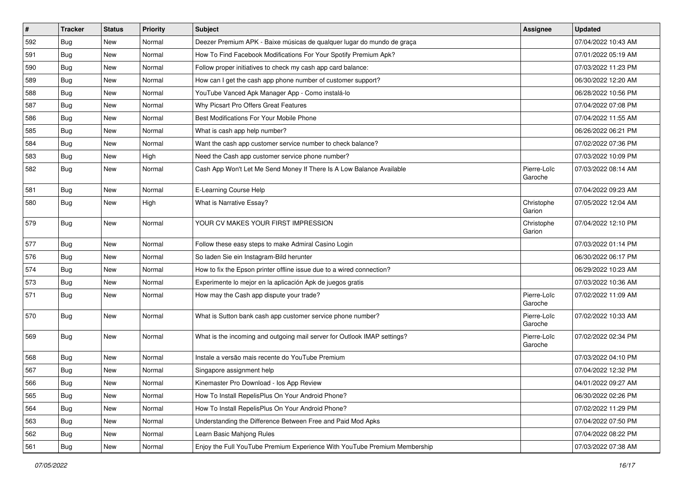| $\vert$ # | <b>Tracker</b> | <b>Status</b> | <b>Priority</b> | Subject                                                                   | Assignee               | <b>Updated</b>      |
|-----------|----------------|---------------|-----------------|---------------------------------------------------------------------------|------------------------|---------------------|
| 592       | <b>Bug</b>     | New           | Normal          | Deezer Premium APK - Baixe músicas de qualquer lugar do mundo de graça    |                        | 07/04/2022 10:43 AM |
| 591       | <b>Bug</b>     | New           | Normal          | How To Find Facebook Modifications For Your Spotify Premium Apk?          |                        | 07/01/2022 05:19 AM |
| 590       | <b>Bug</b>     | New           | Normal          | Follow proper initiatives to check my cash app card balance:              |                        | 07/03/2022 11:23 PM |
| 589       | <b>Bug</b>     | New           | Normal          | How can I get the cash app phone number of customer support?              |                        | 06/30/2022 12:20 AM |
| 588       | Bug            | New           | Normal          | YouTube Vanced Apk Manager App - Como instalá-lo                          |                        | 06/28/2022 10:56 PM |
| 587       | Bug            | New           | Normal          | Why Picsart Pro Offers Great Features                                     |                        | 07/04/2022 07:08 PM |
| 586       | Bug            | New           | Normal          | Best Modifications For Your Mobile Phone                                  |                        | 07/04/2022 11:55 AM |
| 585       | Bug            | New           | Normal          | What is cash app help number?                                             |                        | 06/26/2022 06:21 PM |
| 584       | <b>Bug</b>     | New           | Normal          | Want the cash app customer service number to check balance?               |                        | 07/02/2022 07:36 PM |
| 583       | Bug            | New           | High            | Need the Cash app customer service phone number?                          |                        | 07/03/2022 10:09 PM |
| 582       | <b>Bug</b>     | New           | Normal          | Cash App Won't Let Me Send Money If There Is A Low Balance Available      | Pierre-Loïc<br>Garoche | 07/03/2022 08:14 AM |
| 581       | Bug            | <b>New</b>    | Normal          | E-Learning Course Help                                                    |                        | 07/04/2022 09:23 AM |
| 580       | Bug            | New           | High            | What is Narrative Essay?                                                  | Christophe<br>Garion   | 07/05/2022 12:04 AM |
| 579       | Bug            | New           | Normal          | YOUR CV MAKES YOUR FIRST IMPRESSION                                       | Christophe<br>Garion   | 07/04/2022 12:10 PM |
| 577       | Bug            | <b>New</b>    | Normal          | Follow these easy steps to make Admiral Casino Login                      |                        | 07/03/2022 01:14 PM |
| 576       | Bug            | New           | Normal          | So laden Sie ein Instagram-Bild herunter                                  |                        | 06/30/2022 06:17 PM |
| 574       | <b>Bug</b>     | New           | Normal          | How to fix the Epson printer offline issue due to a wired connection?     |                        | 06/29/2022 10:23 AM |
| 573       | Bug            | <b>New</b>    | Normal          | Experimente lo mejor en la aplicación Apk de juegos gratis                |                        | 07/03/2022 10:36 AM |
| 571       | <b>Bug</b>     | New           | Normal          | How may the Cash app dispute your trade?                                  | Pierre-Loïc<br>Garoche | 07/02/2022 11:09 AM |
| 570       | Bug            | New           | Normal          | What is Sutton bank cash app customer service phone number?               | Pierre-Loïc<br>Garoche | 07/02/2022 10:33 AM |
| 569       | Bug            | New           | Normal          | What is the incoming and outgoing mail server for Outlook IMAP settings?  | Pierre-Loïc<br>Garoche | 07/02/2022 02:34 PM |
| 568       | Bug            | New           | Normal          | Instale a versão mais recente do YouTube Premium                          |                        | 07/03/2022 04:10 PM |
| 567       | <b>Bug</b>     | New           | Normal          | Singapore assignment help                                                 |                        | 07/04/2022 12:32 PM |
| 566       | Bug            | New           | Normal          | Kinemaster Pro Download - los App Review                                  |                        | 04/01/2022 09:27 AM |
| 565       | <b>Bug</b>     | New           | Normal          | How To Install RepelisPlus On Your Android Phone?                         |                        | 06/30/2022 02:26 PM |
| 564       | <b>Bug</b>     | New           | Normal          | How To Install RepelisPlus On Your Android Phone?                         |                        | 07/02/2022 11:29 PM |
| 563       | <b>Bug</b>     | New           | Normal          | Understanding the Difference Between Free and Paid Mod Apks               |                        | 07/04/2022 07:50 PM |
| 562       | <b>Bug</b>     | New           | Normal          | Learn Basic Mahjong Rules                                                 |                        | 07/04/2022 08:22 PM |
| 561       | Bug            | New           | Normal          | Enjoy the Full YouTube Premium Experience With YouTube Premium Membership |                        | 07/03/2022 07:38 AM |